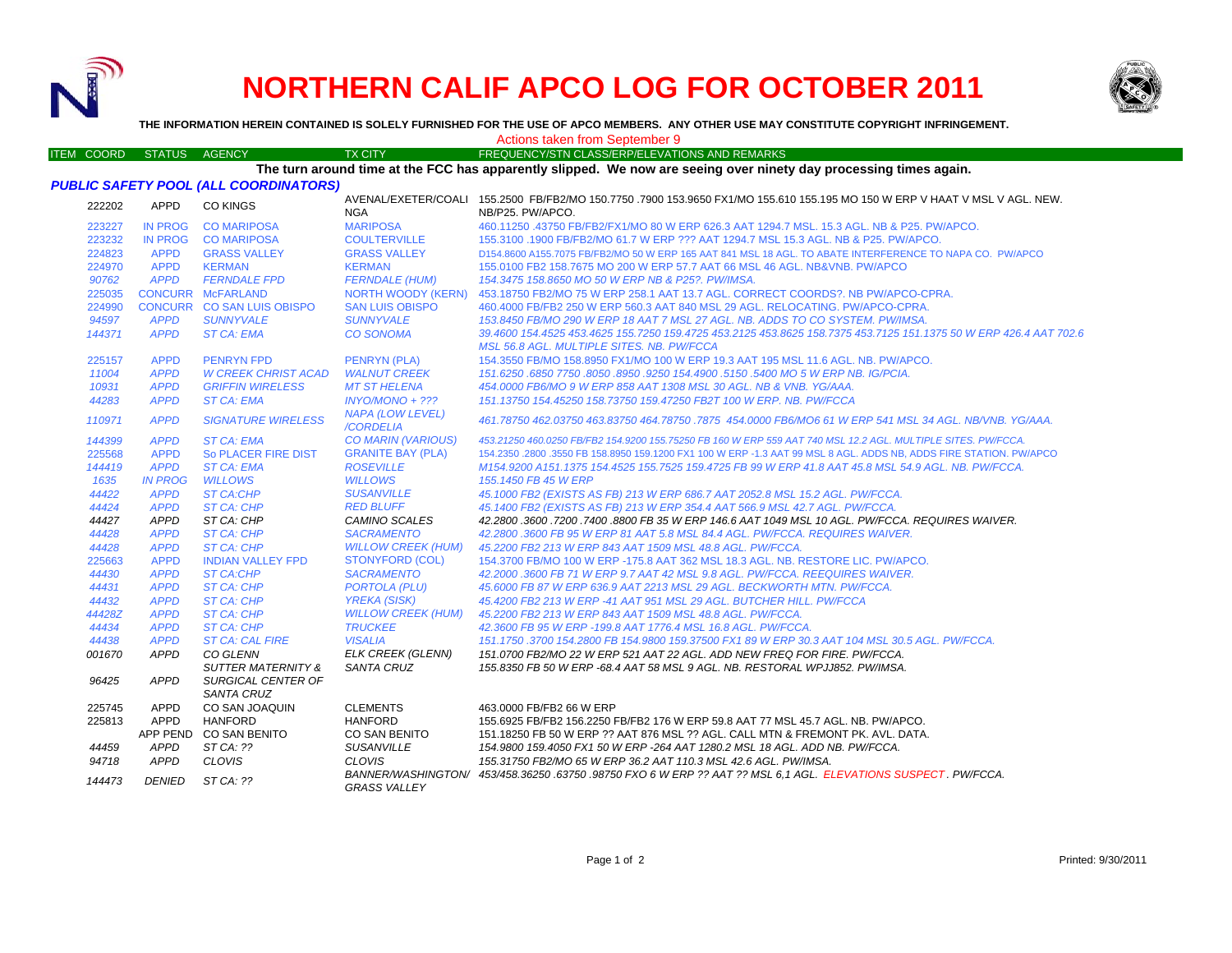

## **NORTHERN CALIF APCO LOG FOR OCTOBER 2011**



**THE INFORMATION HEREIN CONTAINED IS SOLELY FURNISHED FOR THE USE OF APCO MEMBERS. ANY OTHER USE MAY CONSTITUTE COPYRIGHT INFRINGEMENT.**

ITEM COORD STATUS AGENCY TX CITY FREQUENCY/STN CLASS/ERP/ELEVATIONS AND REMARKS

Actions taken from September 9

## **The turn around time at the FCC has apparently slipped. We now are seeing over ninety day processing times again.**

| PUBLIC SAFETY POOL (ALL COORDINATORS) |
|---------------------------------------|
|---------------------------------------|

| 222202 | <b>APPD</b>    | <b>CO KINGS</b>                                | <b>NGA</b>                                    | AVENAL/EXETER/COALI 155.2500 FB/FB2/MO 150.7750 .7900 153.9650 FX1/MO 155.610 155.195 MO 150 W ERP V HAAT V MSL V AGL. NEW.<br>NB/P25. PW/APCO.         |
|--------|----------------|------------------------------------------------|-----------------------------------------------|---------------------------------------------------------------------------------------------------------------------------------------------------------|
| 223227 | <b>IN PROG</b> | <b>CO MARIPOSA</b>                             | <b>MARIPOSA</b>                               | 460.11250 .43750 FB/FB2/FX1/MO 80 W ERP 626.3 AAT 1294.7 MSL, 15.3 AGL, NB & P25, PW/APCO.                                                              |
| 223232 | IN PROG        | <b>CO MARIPOSA</b>                             | <b>COULTERVILLE</b>                           | 155,3100 .1900 FB/FB2/MO 61.7 W ERP ??? AAT 1294.7 MSL 15.3 AGL. NB & P25. PW/APCO.                                                                     |
| 224823 | <b>APPD</b>    | <b>GRASS VALLEY</b>                            | <b>GRASS VALLEY</b>                           | D154.8600 A155.7075 FB/FB2/MO 50 W ERP 165 AAT 841 MSL 18 AGL. TO ABATE INTERFERENCE TO NAPA CO. PW/APCO                                                |
| 224970 | <b>APPD</b>    | <b>KERMAN</b>                                  | <b>KERMAN</b>                                 | 155,0100 FB2 158,7675 MO 200 W ERP 57.7 AAT 66 MSL 46 AGL, NB&VNB, PW/APCO                                                                              |
| 90762  | <b>APPD</b>    | <b>FERNDALE FPD</b>                            | <b>FERNDALE (HUM)</b>                         | 154.3475 158.8650 MO 50 W ERP NB & P25?. PW/IMSA.                                                                                                       |
| 225035 |                | <b>CONCURR McFARLAND</b>                       | NORTH WOODY (KERN)                            | 453.18750 FB2/MO 75 W ERP 258.1 AAT 13.7 AGL, CORRECT COORDS?, NB PW/APCO-CPRA.                                                                         |
| 224990 |                | CONCURR CO SAN LUIS OBISPO                     | <b>SAN LUIS OBISPO</b>                        | 460,4000 FB/FB2 250 W ERP 560.3 AAT 840 MSL 29 AGL, RELOCATING, PW/APCO-CPRA.                                                                           |
| 94597  | <b>APPD</b>    | <b>SUNNYVALE</b>                               | <b>SUNNYVALE</b>                              | 153.8450 FB/MO 290 W ERP 18 AAT 7 MSL 27 AGL, NB, ADDS TO CO SYSTEM, PW/IMSA.                                                                           |
| 144371 | <b>APPD</b>    | <b>ST CA: EMA</b>                              | <b>CO SONOMA</b>                              | 39.4600 154.4525 453.4625 155.7250 159.4725 453.2125 453.8625 158.7375 453.7125 151.1375 50 W ERP 426.4 AAT 702.6                                       |
|        |                |                                                |                                               | MSL 56.8 AGL, MULTIPLE SITES, NB, PW/FCCA                                                                                                               |
| 225157 | <b>APPD</b>    | <b>PENRYN FPD</b>                              | <b>PENRYN (PLA)</b>                           | 154.3550 FB/MO 158.8950 FX1/MO 100 W ERP 19.3 AAT 195 MSL 11.6 AGL. NB. PW/APCO.                                                                        |
| 11004  | <b>APPD</b>    | <b>W CREEK CHRIST ACAD</b>                     | <b>WALNUT CREEK</b>                           | 151.6250 .6850 7750 .8050 .8950 .9250 154.4900 .5150 .5400 MO 5 W ERP NB. IG/PCIA.                                                                      |
| 10931  | <b>APPD</b>    | <b>GRIFFIN WIRELESS</b>                        | <b>MT ST HELENA</b>                           | 454,0000 FB6/MO 9 W ERP 858 AAT 1308 MSL 30 AGL. NB & VNB. YG/AAA.                                                                                      |
| 44283  | <b>APPD</b>    | <b>ST CA: EMA</b>                              | $INYO/MONO + ???$                             | 151.13750 154.45250 158.73750 159.47250 FB2T 100 W ERP. NB. PW/FCCA                                                                                     |
| 110971 | <b>APPD</b>    | <b>SIGNATURE WIRELESS</b>                      | <b>NAPA (LOW LEVEL)</b><br>/CORDELIA          | 461.78750 462.03750 463.83750 464.78750 .7875 454.0000 FB6/MO6 61 W ERP 541 MSL 34 AGL. NB/VNB. YG/AAA.                                                 |
| 144399 | <b>APPD</b>    | <b>ST CA: EMA</b>                              | <b>CO MARIN (VARIOUS)</b>                     | 453,21250 460,0250 FB/FB2 154,9200 155,75250 FB 160 W ERP 559 AAT 740 MSL 12.2 AGL, MULTIPLE SITES, PW/FCCA,                                            |
| 225568 | <b>APPD</b>    | So PLACER FIRE DIST                            | <b>GRANITE BAY (PLA)</b>                      | 154.2350 .2800 .3550 FB 158.8950 159.1200 FX1 100 W ERP -1.3 AAT 99 MSL 8 AGL. ADDS NB, ADDS FIRE STATION. PW/APCO                                      |
| 144419 | <b>APPD</b>    | <b>ST CA: EMA</b>                              | <b>ROSEVILLE</b>                              | M154.9200 A151.1375 154.4525 155.7525 159.4725 FB 99 W ERP 41.8 AAT 45.8 MSL 54.9 AGL. NB. PW/FCCA.                                                     |
| 1635   | <b>IN PROG</b> | <b>WILLOWS</b>                                 | <b>WILLOWS</b>                                | 155,1450 FB 45 W ERP                                                                                                                                    |
| 44422  | <b>APPD</b>    | <b>ST CA:CHP</b>                               | <b>SUSANVILLE</b>                             | 45.1000 FB2 (EXISTS AS FB) 213 W ERP 686.7 AAT 2052.8 MSL 15.2 AGL. PW/FCCA.                                                                            |
| 44424  | <b>APPD</b>    | <b>ST CA: CHP</b>                              | <b>RED BLUFF</b>                              | 45.1400 FB2 (EXISTS AS FB) 213 W ERP 354.4 AAT 566.9 MSL 42.7 AGL. PW/FCCA.                                                                             |
| 44427  | <b>APPD</b>    | ST CA: CHP                                     | <b>CAMINO SCALES</b>                          | 42.2800.3600.7200.7400.8800 FB 35 W ERP 146.6 AAT 1049 MSL 10 AGL. PW/FCCA. REQUIRES WAIVER.                                                            |
| 44428  | <b>APPD</b>    | <b>ST CA: CHP</b>                              | <b>SACRAMENTO</b>                             | 42.2800.3600 FB 95 W ERP 81 AAT 5.8 MSL 84.4 AGL, PW/FCCA, REQUIRES WAIVER.                                                                             |
| 44428  | <b>APPD</b>    | ST CA: CHP                                     | <b>WILLOW CREEK (HUM)</b>                     | 45.2200 FB2 213 W ERP 843 AAT 1509 MSL 48.8 AGL, PW/FCCA.                                                                                               |
| 225663 | <b>APPD</b>    | <b>INDIAN VALLEY FPD</b>                       | <b>STONYFORD (COL)</b>                        | 154,3700 FB/MO 100 W ERP -175.8 AAT 362 MSL 18.3 AGL, NB, RESTORE LIC, PW/APCO,                                                                         |
| 44430  | <b>APPD</b>    | <b>ST CA:CHP</b>                               | <b>SACRAMENTO</b>                             | 42.2000 .3600 FB 71 W ERP 9.7 AAT 42 MSL 9.8 AGL. PW/FCCA. REEQUIRES WAIVER.                                                                            |
| 44431  | <b>APPD</b>    | ST CA: CHP                                     | <b>PORTOLA (PLU)</b>                          | 45,6000 FB 87 W ERP 636.9 AAT 2213 MSL 29 AGL. BECKWORTH MTN. PW/FCCA.                                                                                  |
| 44432  | <b>APPD</b>    | ST CA: CHP                                     | <b>YREKA (SISK)</b>                           | 45.4200 FB2 213 W ERP -41 AAT 951 MSL 29 AGL, BUTCHER HILL, PW/FCCA                                                                                     |
| 44428Z | <b>APPD</b>    | <b>ST CA: CHP</b>                              | <b>WILLOW CREEK (HUM)</b>                     | 45.2200 FB2 213 W ERP 843 AAT 1509 MSL 48.8 AGL. PW/FCCA.                                                                                               |
| 44434  | <b>APPD</b>    | ST CA: CHP                                     | <b>TRUCKEE</b>                                | 42.3600 FB 95 W ERP -199.8 AAT 1776.4 MSL 16.8 AGL. PW/FCCA.                                                                                            |
| 44438  | <b>APPD</b>    | <b>ST CA: CAL FIRE</b>                         | <b>VISALIA</b>                                | 151.1750 .3700 154.2800 FB 154.9800 159.37500 FX1 89 W ERP 30.3 AAT 104 MSL 30.5 AGL. PW/FCCA.                                                          |
| 001670 | <b>APPD</b>    | CO GLENN<br><b>SUTTER MATERNITY &amp;</b>      | <b>ELK CREEK (GLENN)</b><br><b>SANTA CRUZ</b> | 151.0700 FB2/MO 22 W ERP 521 AAT 22 AGL. ADD NEW FREQ FOR FIRE. PW/FCCA.<br>155.8350 FB 50 W ERP -68.4 AAT 58 MSL 9 AGL. NB. RESTORAL WPJJ852. PW/IMSA. |
| 96425  | APPD           | <b>SURGICAL CENTER OF</b><br><b>SANTA CRUZ</b> |                                               |                                                                                                                                                         |
| 225745 | <b>APPD</b>    | CO SAN JOAQUIN                                 | <b>CLEMENTS</b>                               | 463,0000 FB/FB2 66 W ERP                                                                                                                                |
| 225813 | <b>APPD</b>    | <b>HANFORD</b>                                 | <b>HANFORD</b>                                | 155.6925 FB/FB2 156.2250 FB/FB2 176 W ERP 59.8 AAT 77 MSL 45.7 AGL, NB, PW/APCO,                                                                        |
|        |                | APP PEND CO SAN BENITO                         | CO SAN BENITO                                 | 151.18250 FB 50 W ERP ?? AAT 876 MSL ?? AGL. CALL MTN & FREMONT PK, AVL, DATA,                                                                          |
| 44459  | <b>APPD</b>    | $STCA:$ ??                                     | <b>SUSANVILLE</b>                             | 154,9800 159,4050 FX1 50 W ERP -264 AAT 1280.2 MSL 18 AGL, ADD NB, PW/FCCA,                                                                             |
| 94718  | APPD           | CLOVIS                                         | <b>CLOVIS</b>                                 | 155.31750 FB2/MO 65 W ERP 36.2 AAT 110.3 MSL 42.6 AGL. PW/IMSA.                                                                                         |
| 144473 | <b>DENIED</b>  | ST CA: ??                                      | <b>GRASS VALLEY</b>                           | BANNER/WASHINGTON/ 453/458.36250.63750.98750 FXO 6 W ERP ?? AAT ?? MSL 6.1 AGL. ELEVATIONS SUSPECT. PW/FCCA.                                            |